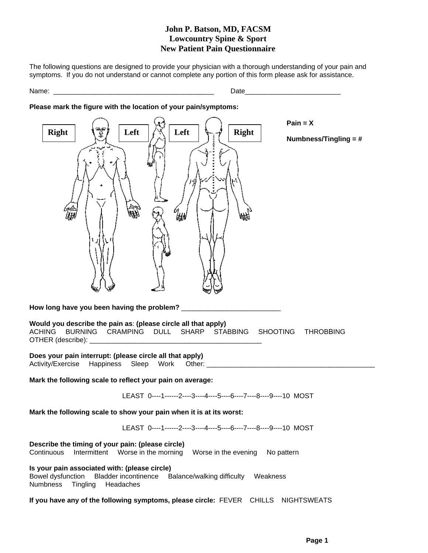## **John P. Batson, MD, FACSM Lowcountry Spine & Sport New Patient Pain Questionnaire**

The following questions are designed to provide your physician with a thorough understanding of your pain and symptoms. If you do not understand or cannot complete any portion of this form please ask for assistance.

Date and the set of  $\mathcal{L}$  and  $\mathcal{L}$  and  $\mathcal{L}$  are  $\mathcal{L}$  and  $\mathcal{L}$  and  $\mathcal{L}$  are  $\mathcal{L}$  and  $\mathcal{L}$  are  $\mathcal{L}$  and  $\mathcal{L}$  are  $\mathcal{L}$  and  $\mathcal{L}$  are  $\mathcal{L}$  and  $\mathcal{L}$  and  $\mathcal{L}$  are  $\mathcal{L}$ 

### **Please mark the figure with the location of your pain/symptoms:**



**If you have any of the following symptoms, please circle:** FEVER CHILLS NIGHTSWEATS